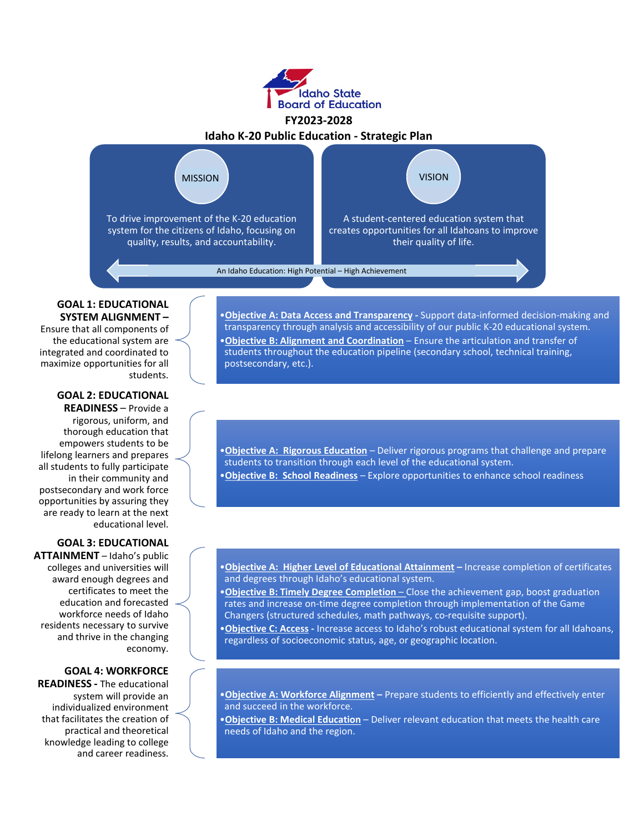

# **FY2023-2028**



#### **GOAL 1: EDUCATIONAL SYSTEM ALIGNMENT –**

Ensure that all components of the educational system are integrated and coordinated to maximize opportunities for all students.

#### **GOAL 2: EDUCATIONAL READINESS** – Provide a

rigorous, uniform, and thorough education that empowers students to be lifelong learners and prepares all students to fully participate in their community and postsecondary and work force opportunities by assuring they are ready to learn at the next educational level.

#### **GOAL 3: EDUCATIONAL**

**ATTAINMENT** – Idaho's public colleges and universities will award enough degrees and certificates to meet the education and forecasted workforce needs of Idaho residents necessary to survive and thrive in the changing economy.

#### **GOAL 4: WORKFORCE**

**READINESS -** The educational system will provide an individualized environment that facilitates the creation of practical and theoretical knowledge leading to college and career readiness.

•**Objective A: Data Access and Transparency -** Support data-informed decision-making and transparency through analysis and accessibility of our public K-20 educational system. •**Objective B: Alignment and Coordination** – Ensure the articulation and transfer of students throughout the education pipeline (secondary school, technical training, postsecondary, etc.).

•**Objective A: Rigorous Education** – Deliver rigorous programs that challenge and prepare students to transition through each level of the educational system. •**Objective B: School Readiness** – Explore opportunities to enhance school readiness

•**Objective A: Higher Level of Educational Attainment –** Increase completion of certificates and degrees through Idaho's educational system.

•**Objective B: Timely Degree Completion** – Close the achievement gap, boost graduation rates and increase on-time degree completion through implementation of the Game Changers (structured schedules, math pathways, co-requisite support).

•**Objective C: Access -** Increase access to Idaho's robust educational system for all Idahoans, regardless of socioeconomic status, age, or geographic location.

•**Objective A: Workforce Alignment –** Prepare students to efficiently and effectively enter and succeed in the workforce.

•**Objective B: Medical Education** – Deliver relevant education that meets the health care needs of Idaho and the region.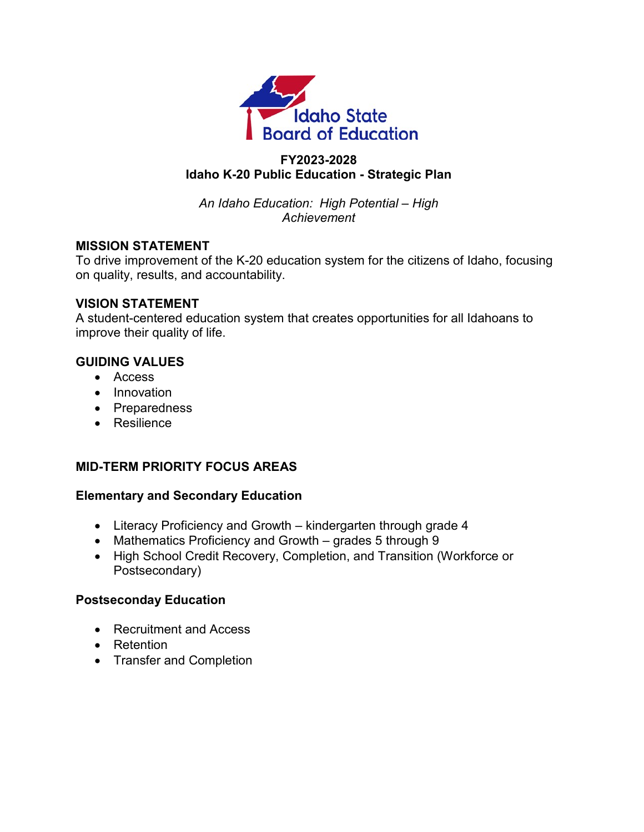

## **FY2023-2028 Idaho K-20 Public Education - Strategic Plan**

*An Idaho Education: High Potential – High Achievement*

#### **MISSION STATEMENT**

To drive improvement of the K-20 education system for the citizens of Idaho, focusing on quality, results, and accountability.

#### **VISION STATEMENT**

A student-centered education system that creates opportunities for all Idahoans to improve their quality of life.

#### **GUIDING VALUES**

- Access
- Innovation
- Preparedness
- Resilience

## **MID-TERM PRIORITY FOCUS AREAS**

#### **Elementary and Secondary Education**

- Literacy Proficiency and Growth kindergarten through grade 4
- Mathematics Proficiency and Growth grades 5 through 9
- High School Credit Recovery, Completion, and Transition (Workforce or Postsecondary)

#### **Postseconday Education**

- Recruitment and Access
- Retention
- Transfer and Completion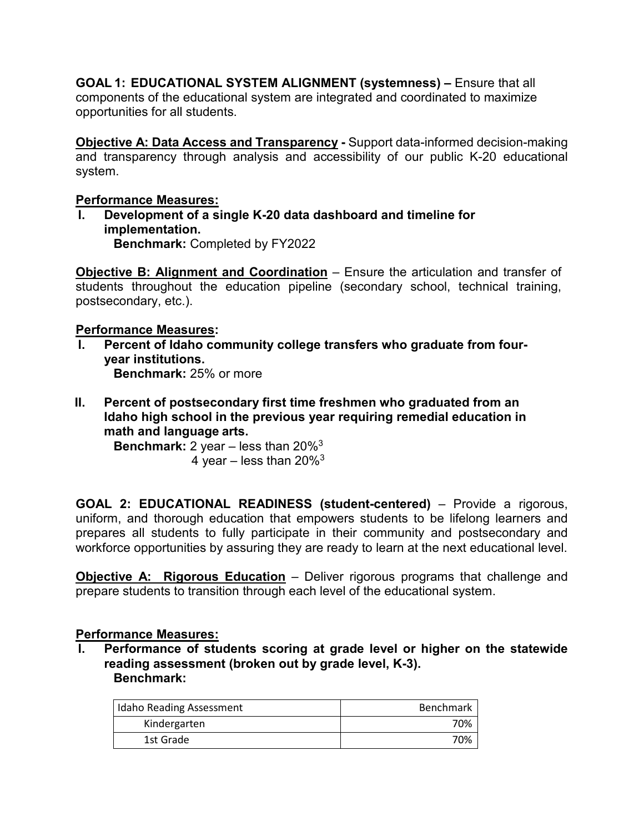**GOAL 1: EDUCATIONAL SYSTEM ALIGNMENT (systemness) –** Ensure that all components of the educational system are integrated and coordinated to maximize opportunities for all students.

**Objective A: Data Access and Transparency -** Support data-informed decision-making and transparency through analysis and accessibility of our public K-20 educational system.

## **Performance Measures:**

**I. Development of a single K-20 data dashboard and timeline for implementation. Benchmark:** Completed by FY2022

**Objective B: Alignment and Coordination** – Ensure the articulation and transfer of students throughout the education pipeline (secondary school, technical training, postsecondary, etc.).

#### **Performance Measures:**

- Percent of Idaho community college transfers who graduate from four**year institutions. Benchmark:** 25% or more
- **II. Percent of postsecondary first time freshmen who graduated from an Idaho high school in the previous year requiring remedial education in math and language arts.**

**Benchmark:** 2 year – less than 20[%3](#page-4-0) 4 year – less than  $20\%$ <sup>3</sup>

**GOAL 2: EDUCATIONAL READINESS (student-centered)** – Provide a rigorous, uniform, and thorough education that empowers students to be lifelong learners and prepares all students to fully participate in their community and postsecondary and workforce opportunities by assuring they are ready to learn at the next educational level.

**Objective A: Rigorous Education** – Deliver rigorous programs that challenge and prepare students to transition through each level of the educational system.

## **Performance Measures:**

**I. Performance of students scoring at grade level or higher on the statewide reading assessment (broken out by grade level, K-3). Benchmark:** 

| <b>Idaho Reading Assessment</b> | <b>Benchmark</b> |
|---------------------------------|------------------|
| Kindergarten                    | 70%              |
| 1st Grade                       | 70%              |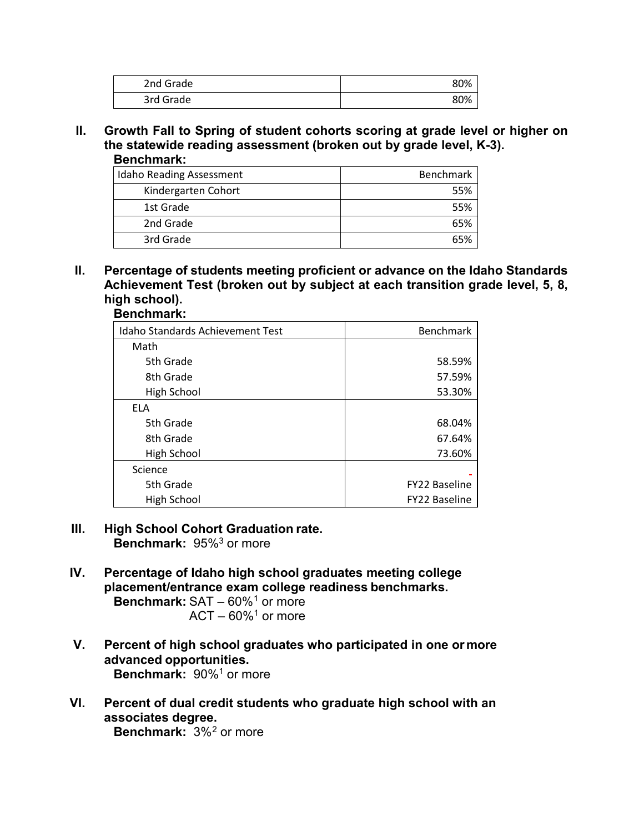| 2nd Grade | 80% |
|-----------|-----|
| 3rd Grade | 80% |

**II. Growth Fall to Spring of student cohorts scoring at grade level or higher on the statewide reading assessment (broken out by grade level, K-3). Benchmark:** 

| <b>Idaho Reading Assessment</b> | <b>Benchmark</b> |
|---------------------------------|------------------|
| Kindergarten Cohort             | 55%              |
| 1st Grade                       | 55%              |
| 2nd Grade                       | 65%              |
| 3rd Grade                       |                  |

**II. Percentage of students meeting proficient or advance on the Idaho Standards Achievement Test (broken out by subject at each transition grade level, 5, 8, high school). Benchmark:**

| <b>Idaho Standards Achievement Test</b> | <b>Benchmark</b>     |
|-----------------------------------------|----------------------|
| Math                                    |                      |
| 5th Grade                               | 58.59%               |
| 8th Grade                               | 57.59%               |
| High School                             | 53.30%               |
| <b>ELA</b>                              |                      |
| 5th Grade                               | 68.04%               |
| 8th Grade                               | 67.64%               |
| High School                             | 73.60%               |
| Science                                 |                      |
| 5th Grade                               | <b>FY22 Baseline</b> |
| High School                             | FY22 Baseline        |

- **III. High School Cohort Graduation rate. Benchmark:** 95%<sup>3</sup> or more
- **IV. Percentage of Idaho high school graduates meeting college placement/entrance exam college readiness benchmarks. Benchmark:** SAT – 60%<sup>[1](#page-8-0)</sup> or more

<span id="page-3-1"></span><span id="page-3-0"></span> $ACT - 60\%$ <sup>1</sup> or more

- **V. Percent of high school graduates who participated in one ormore advanced opportunities. Benchmark: 90%<sup>1</sup> or more**
- **VI. Percent of dual credit students who graduate high school with an associates degree. Benchmark:** 3%[2](#page-8-1) or more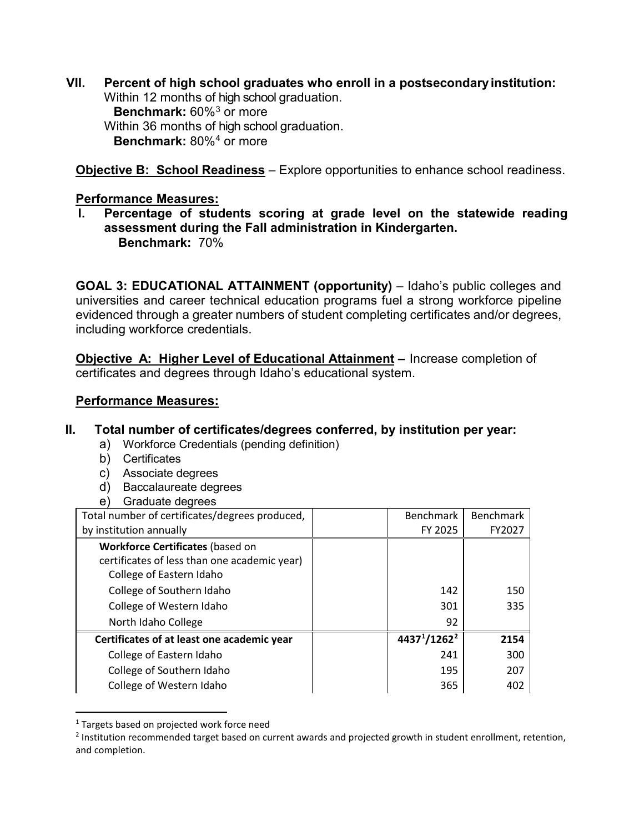**VII. Percent of high school graduates who enroll in a postsecondaryinstitution:** Within 12 months of high school graduation. **Benchmark:** 60%[3](#page-8-2) or more Within 36 months of high school graduation. **Benchmark:** 80%[4](#page-8-3) or more

<span id="page-4-3"></span><span id="page-4-0"></span>**Objective B: School Readiness** – Explore opportunities to enhance school readiness.

#### **Performance Measures:**

**I. Percentage of students scoring at grade level on the statewide reading assessment during the Fall administration in Kindergarten. Benchmark:** 70%

**GOAL 3: EDUCATIONAL ATTAINMENT (opportunity)** – Idaho's public colleges and universities and career technical education programs fuel a strong workforce pipeline evidenced through a greater numbers of student completing certificates and/or degrees, including workforce credentials.

**Objective A: Higher Level of Educational Attainment –** Increase completion of certificates and degrees through Idaho's educational system.

## **Performance Measures:**

## **II. Total number of certificates/degrees conferred, by institution per year:**

- a) Workforce Credentials (pending definition)
- b) Certificates
- c) Associate degrees
- d) Baccalaureate degrees
- e) Graduate degrees

| Total number of certificates/degrees produced, | <b>Benchmark</b>                     | <b>Benchmark</b> |
|------------------------------------------------|--------------------------------------|------------------|
| by institution annually                        | FY 2025                              | FY2027           |
| <b>Workforce Certificates (based on</b>        |                                      |                  |
| certificates of less than one academic year)   |                                      |                  |
| College of Eastern Idaho                       |                                      |                  |
| College of Southern Idaho                      | 142                                  | 150              |
| College of Western Idaho                       | 301                                  | 335              |
| North Idaho College                            | 92                                   |                  |
| Certificates of at least one academic year     | 4437 <sup>1</sup> /1262 <sup>2</sup> | 2154             |
| College of Eastern Idaho                       | 241                                  | 300              |
| College of Southern Idaho                      | 195                                  | 207              |
| College of Western Idaho                       | 365                                  | 402              |

<span id="page-4-1"></span><sup>&</sup>lt;sup>1</sup> Targets based on projected work force need

<span id="page-4-2"></span> $<sup>2</sup>$  Institution recommended target based on current awards and projected growth in student enrollment, retention,</sup> and completion.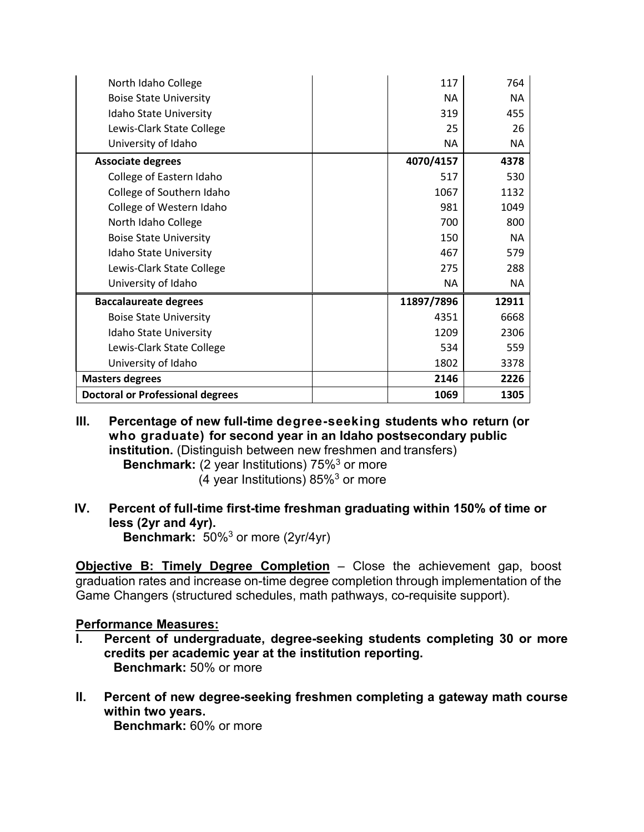| North Idaho College                     | 117        | 764       |
|-----------------------------------------|------------|-----------|
| <b>Boise State University</b>           | <b>NA</b>  | <b>NA</b> |
| Idaho State University                  | 319        | 455       |
| Lewis-Clark State College               | 25         | 26        |
| University of Idaho                     | <b>NA</b>  | NA.       |
| <b>Associate degrees</b>                | 4070/4157  | 4378      |
| College of Eastern Idaho                | 517        | 530       |
| College of Southern Idaho               | 1067       | 1132      |
| College of Western Idaho                | 981        | 1049      |
| North Idaho College                     | 700        | 800       |
| <b>Boise State University</b>           | 150        | NA.       |
| Idaho State University                  | 467        | 579       |
| Lewis-Clark State College               | 275        | 288       |
| University of Idaho                     | <b>NA</b>  | NA.       |
| <b>Baccalaureate degrees</b>            | 11897/7896 | 12911     |
| <b>Boise State University</b>           | 4351       | 6668      |
| Idaho State University                  | 1209       | 2306      |
| Lewis-Clark State College               | 534        | 559       |
| University of Idaho                     | 1802       | 3378      |
| <b>Masters degrees</b>                  | 2146       | 2226      |
| <b>Doctoral or Professional degrees</b> | 1069       | 1305      |

**III. Percentage of new full-time degree-seeking students who return (or who graduate) for second year in an Idaho postsecondary public institution.** (Distinguish between new freshmen and transfers) **Benchmark:** (2 year Institutions) 75[%3](#page-4-0) or more

(4 year Institutions)  $85\%$ <sup>3</sup> or more

**IV. Percent of full-time first-time freshman graduating within 150% of time or less (2yr and 4yr).**

**Benchmark:** 50[%3](#page-4-0) or more (2yr/4yr)

**Objective B: Timely Degree Completion** – Close the achievement gap, boost graduation rates and increase on-time degree completion through implementation of the Game Changers (structured schedules, math pathways, co-requisite support).

#### **Performance Measures:**

- **I. Percent of undergraduate, degree-seeking students completing 30 or more credits per academic year at the institution reporting. Benchmark:** 50% or more
- **II. Percent of new degree-seeking freshmen completing a gateway math course within two years.**

**Benchmark:** 60% or more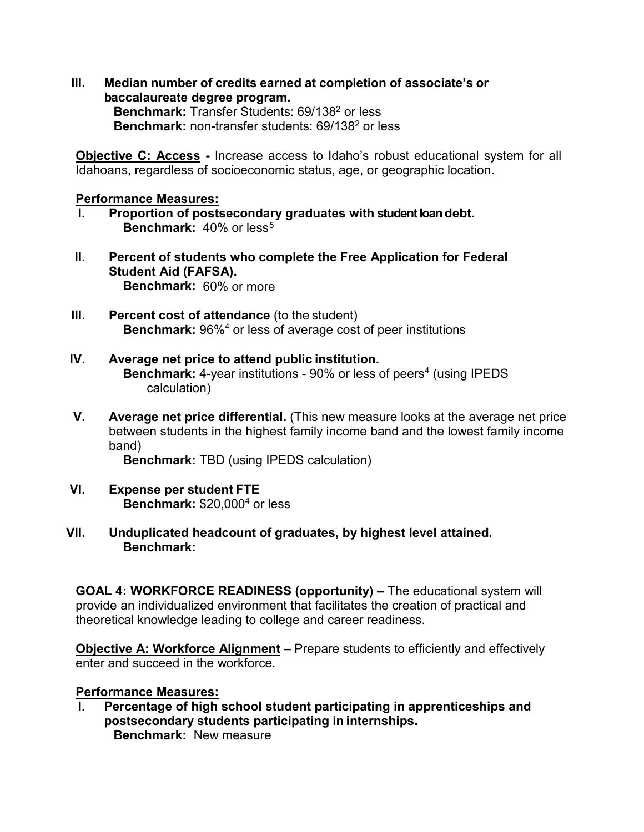**III. Median number of credits earned at completion of associate's or baccalaureate degree program.**

**Benchmark:** Transfer Students: 69/138<sup>2</sup> or less **Benchmark:** non-transfer students: 69/138<sup>2</sup> or less

**Objective C: Access -** Increase access to Idaho's robust educational system for all Idahoans, regardless of socioeconomic status, age, or geographic location.

#### **Performance Measures:**

- **I. Proportion of postsecondary graduates with student loan debt. Benchmark:** 40% or less<sup>[5](#page-8-4)</sup>
- **II. Percent of students who complete the Free Application for Federal Student Aid (FAFSA). Benchmark:** 60% or more
- **III.** Percent cost of attendance (to the student) **Benchmark:** 96[%4](#page-4-3) or less of average cost of peer institutions
- **IV. Average net price to attend public institution. Benchmark:** 4-year institutions - 90% or less of peers<sup>4</sup> (using IPEDS calculation)
- **V. Average net price differential.** (This new measure looks at the average net price between students in the highest family income band and the lowest family income band)

**Benchmark:** TBD (using IPEDS calculation)

- **VI. Expense per student FTE Benchmark:** \$20,00[04](#page-4-3) or less
- **VII. Unduplicated headcount of graduates, by highest level attained. Benchmark:**

**GOAL 4: WORKFORCE READINESS (opportunity) –** The educational system will provide an individualized environment that facilitates the creation of practical and theoretical knowledge leading to college and career readiness.

**Objective A: Workforce Alignment –** Prepare students to efficiently and effectively enter and succeed in the workforce.

#### **Performance Measures:**

**I. Percentage of high school student participating in apprenticeships and postsecondary students participating in internships. Benchmark:** New measure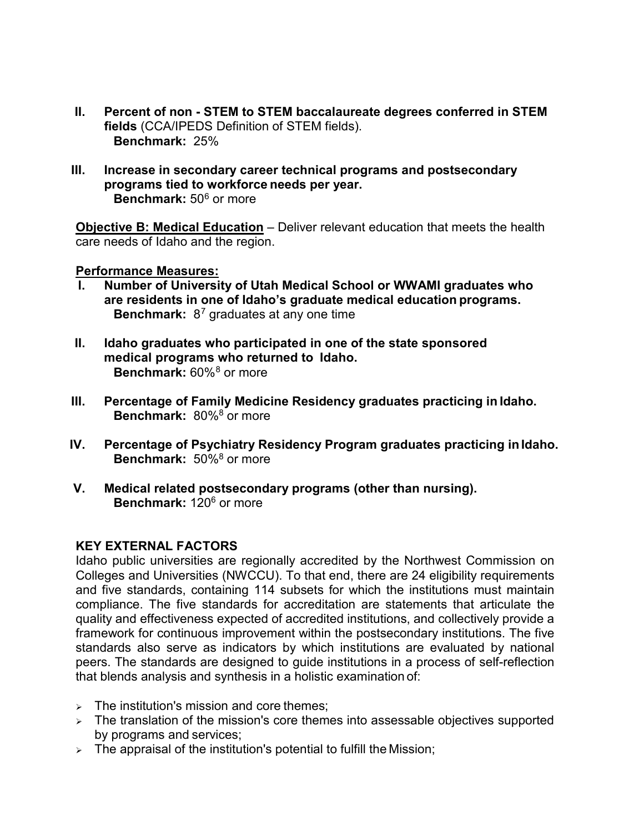- **II. Percent of non - STEM to STEM baccalaureate degrees conferred in STEM fields** (CCA/IPEDS Definition of STEM fields). **Benchmark:** 25%
- **III. Increase in secondary career technical programs and postsecondary programs tied to workforce needs per year. Benchmark:** 50[6](#page-8-5) or more

<span id="page-7-1"></span>**Objective B: Medical Education** – Deliver relevant education that meets the health care needs of Idaho and the region.

#### **Performance Measures:**

- **I. Number of University of Utah Medical School or WWAMI graduates who are residents in one of Idaho's graduate medical education programs. Benchmark:** 8[7](#page-8-6) graduates at any one time
- <span id="page-7-0"></span>**II. Idaho graduates who participated in one of the state sponsored medical programs who returned to Idaho. Benchmark:** 60%[8](#page-8-7) or more
- **III. Percentage of Family Medicine Residency graduates practicing in Idaho. Benchmark:** 80[%8](#page-7-0) or more
- **IV. Percentage of Psychiatry Residency Program graduates practicing inIdaho. Benchmark:** 50[%8](#page-7-0) or more
- **V. Medical related postsecondary programs (other than nursing). Benchmark:** 120<sup>6</sup> or more

#### **KEY EXTERNAL FACTORS**

Idaho public universities are regionally accredited by the Northwest Commission on Colleges and Universities (NWCCU). To that end, there are 24 eligibility requirements and five standards, containing 114 subsets for which the institutions must maintain compliance. The five standards for accreditation are statements that articulate the quality and effectiveness expected of accredited institutions, and collectively provide a framework for continuous improvement within the postsecondary institutions. The five standards also serve as indicators by which institutions are evaluated by national peers. The standards are designed to guide institutions in a process of self-reflection that blends analysis and synthesis in a holistic examination of:

- $\triangleright$  The institution's mission and core themes;
- $\geq$  The translation of the mission's core themes into assessable objectives supported by programs and services;
- $\triangleright$  The appraisal of the institution's potential to fulfill the Mission;